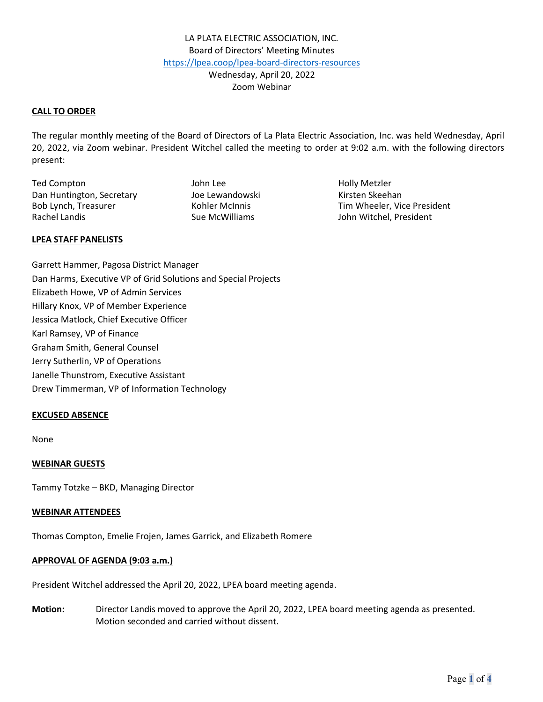### **CALL TO ORDER**

The regular monthly meeting of the Board of Directors of La Plata Electric Association, Inc. was held Wednesday, April 20, 2022, via Zoom webinar. President Witchel called the meeting to order at 9:02 a.m. with the following directors present:

Ted Compton Ted Compton Ted Compton Ted Compton Ted Compton Ted Compton Ted Compton Ted Compton Ted Compton Te Dan Huntington, Secretary **Manual School** Joe Lewandowski Kirsten Skeehan Rachel Landis **Sue McWilliams** Sue McWilliams John Witchel, President

Bob Lynch, Treasurer Tim Wheeler, Vice President

#### **LPEA STAFF PANELISTS**

Garrett Hammer, Pagosa District Manager Dan Harms, Executive VP of Grid Solutions and Special Projects Elizabeth Howe, VP of Admin Services Hillary Knox, VP of Member Experience Jessica Matlock, Chief Executive Officer Karl Ramsey, VP of Finance Graham Smith, General Counsel Jerry Sutherlin, VP of Operations Janelle Thunstrom, Executive Assistant Drew Timmerman, VP of Information Technology

## **EXCUSED ABSENCE**

None

#### **WEBINAR GUESTS**

Tammy Totzke – BKD, Managing Director

#### **WEBINAR ATTENDEES**

Thomas Compton, Emelie Frojen, James Garrick, and Elizabeth Romere

### **APPROVAL OF AGENDA (9:03 a.m.)**

President Witchel addressed the April 20, 2022, LPEA board meeting agenda.

**Motion:** Director Landis moved to approve the April 20, 2022, LPEA board meeting agenda as presented. Motion seconded and carried without dissent.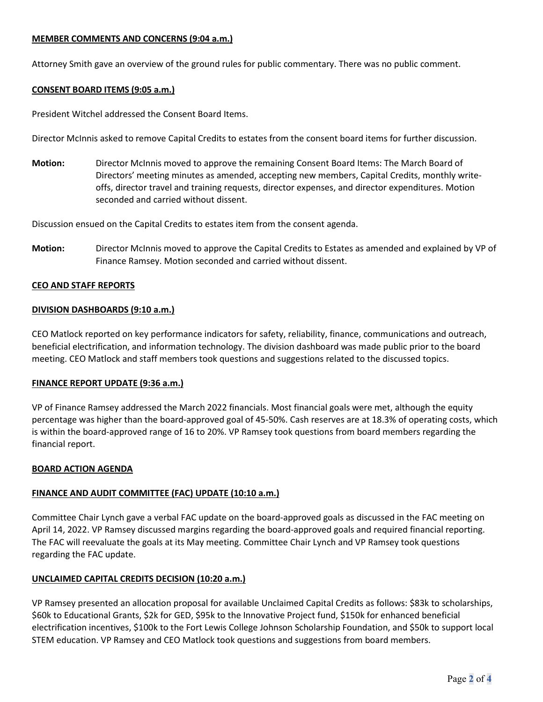# **MEMBER COMMENTS AND CONCERNS (9:04 a.m.)**

Attorney Smith gave an overview of the ground rules for public commentary. There was no public comment.

### **CONSENT BOARD ITEMS (9:05 a.m.)**

President Witchel addressed the Consent Board Items.

Director McInnis asked to remove Capital Credits to estates from the consent board items for further discussion.

**Motion:** Director McInnis moved to approve the remaining Consent Board Items: The March Board of Directors' meeting minutes as amended, accepting new members, Capital Credits, monthly writeoffs, director travel and training requests, director expenses, and director expenditures. Motion seconded and carried without dissent.

Discussion ensued on the Capital Credits to estates item from the consent agenda.

**Motion:** Director McInnis moved to approve the Capital Credits to Estates as amended and explained by VP of Finance Ramsey. Motion seconded and carried without dissent.

### **CEO AND STAFF REPORTS**

### **DIVISION DASHBOARDS (9:10 a.m.)**

CEO Matlock reported on key performance indicators for safety, reliability, finance, communications and outreach, beneficial electrification, and information technology. The division dashboard was made public prior to the board meeting. CEO Matlock and staff members took questions and suggestions related to the discussed topics.

#### **FINANCE REPORT UPDATE (9:36 a.m.)**

VP of Finance Ramsey addressed the March 2022 financials. Most financial goals were met, although the equity percentage was higher than the board-approved goal of 45-50%. Cash reserves are at 18.3% of operating costs, which is within the board-approved range of 16 to 20%. VP Ramsey took questions from board members regarding the financial report.

#### **BOARD ACTION AGENDA**

## **FINANCE AND AUDIT COMMITTEE (FAC) UPDATE (10:10 a.m.)**

Committee Chair Lynch gave a verbal FAC update on the board-approved goals as discussed in the FAC meeting on April 14, 2022. VP Ramsey discussed margins regarding the board-approved goals and required financial reporting. The FAC will reevaluate the goals at its May meeting. Committee Chair Lynch and VP Ramsey took questions regarding the FAC update.

## **UNCLAIMED CAPITAL CREDITS DECISION (10:20 a.m.)**

VP Ramsey presented an allocation proposal for available Unclaimed Capital Credits as follows: \$83k to scholarships, \$60k to Educational Grants, \$2k for GED, \$95k to the Innovative Project fund, \$150k for enhanced beneficial electrification incentives, \$100k to the Fort Lewis College Johnson Scholarship Foundation, and \$50k to support local STEM education. VP Ramsey and CEO Matlock took questions and suggestions from board members.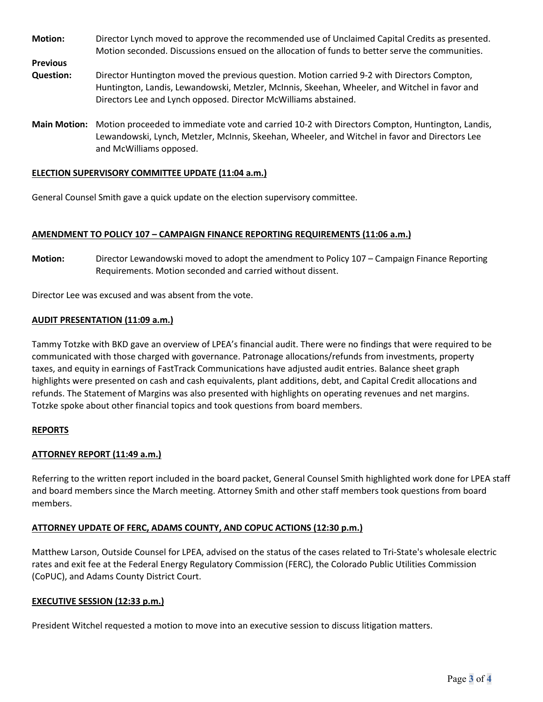- **Motion:** Director Lynch moved to approve the recommended use of Unclaimed Capital Credits as presented. Motion seconded. Discussions ensued on the allocation of funds to better serve the communities.
- **Question:** Director Huntington moved the previous question. Motion carried 9-2 with Directors Compton, Huntington, Landis, Lewandowski, Metzler, McInnis, Skeehan, Wheeler, and Witchel in favor and Directors Lee and Lynch opposed. Director McWilliams abstained.
- **Main Motion:** Motion proceeded to immediate vote and carried 10-2 with Directors Compton, Huntington, Landis, Lewandowski, Lynch, Metzler, McInnis, Skeehan, Wheeler, and Witchel in favor and Directors Lee and McWilliams opposed.

## **ELECTION SUPERVISORY COMMITTEE UPDATE (11:04 a.m.)**

General Counsel Smith gave a quick update on the election supervisory committee.

### **AMENDMENT TO POLICY 107 – CAMPAIGN FINANCE REPORTING REQUIREMENTS (11:06 a.m.)**

**Motion:** Director Lewandowski moved to adopt the amendment to Policy 107 – Campaign Finance Reporting Requirements. Motion seconded and carried without dissent.

Director Lee was excused and was absent from the vote.

### **AUDIT PRESENTATION (11:09 a.m.)**

Tammy Totzke with BKD gave an overview of LPEA's financial audit. There were no findings that were required to be communicated with those charged with governance. Patronage allocations/refunds from investments, property taxes, and equity in earnings of FastTrack Communications have adjusted audit entries. Balance sheet graph highlights were presented on cash and cash equivalents, plant additions, debt, and Capital Credit allocations and refunds. The Statement of Margins was also presented with highlights on operating revenues and net margins. Totzke spoke about other financial topics and took questions from board members.

#### **REPORTS**

**Previous** 

## **ATTORNEY REPORT (11:49 a.m.)**

Referring to the written report included in the board packet, General Counsel Smith highlighted work done for LPEA staff and board members since the March meeting. Attorney Smith and other staff members took questions from board members.

#### **ATTORNEY UPDATE OF FERC, ADAMS COUNTY, AND COPUC ACTIONS (12:30 p.m.)**

Matthew Larson, Outside Counsel for LPEA, advised on the status of the cases related to Tri-State's wholesale electric rates and exit fee at the Federal Energy Regulatory Commission (FERC), the Colorado Public Utilities Commission (CoPUC), and Adams County District Court.

#### **EXECUTIVE SESSION (12:33 p.m.)**

President Witchel requested a motion to move into an executive session to discuss litigation matters.